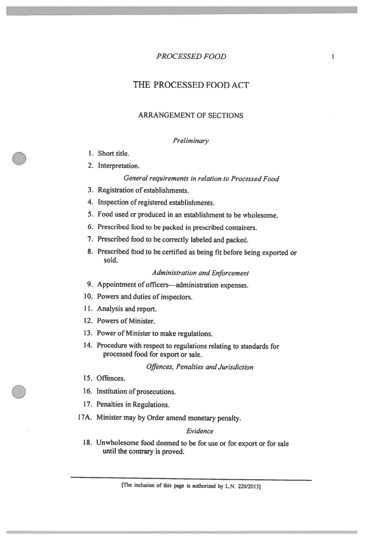# THE PROCESSED FOOD ACT

# **ARRANGEMENT OF SECTIONS**

#### Preliminary

- 1. Short title.
- 2. Interpretation.

#### General requirements in relation to Processed Food

- 3. Registration of establishments.
- 4. Inspection of registered establishments.
- 5. Food used or produced in an establishment to be wholesome.
- 6. Prescribed food to be packed in prescribed containers.
- 7. Prescribed food to be correctly labeled and packed.
- 8. Prescribed food to be certified as being fit before being exported or sold.

#### **Administration and Enforcement**

- 9. Appointment of officers-administration expenses.
- 10. Powers and duties of inspectors.
- 11. Analysis and report.
- 12. Powers of Minister.
- 13. Power of Minister to make regulations.
- 14. Procedure with respect to regulations relating to standards for processed food for export or sale.

**Offences, Penalties and Jurisdiction** 

- 15. Offences.
- 16. Institution of prosecutions.
- 17. Penalties in Regulations.
- 17A. Minister may by Order amend monetary penalty.

#### Evidence

18. Unwholesome food deemed to be for use or for export or for sale until the contrary is proved.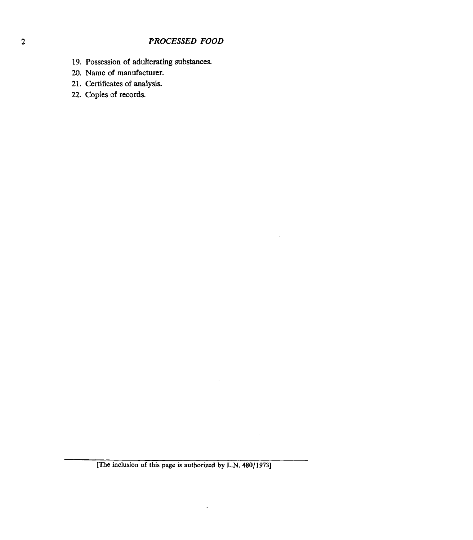- **[19. Possession of adulterating](#page-15-0) substances.**
- **20. Name of manufacturer.**
- **21. Certificates of analysis.**
- **[22. Copies](#page-16-0)** of **records.**

 $\cdot$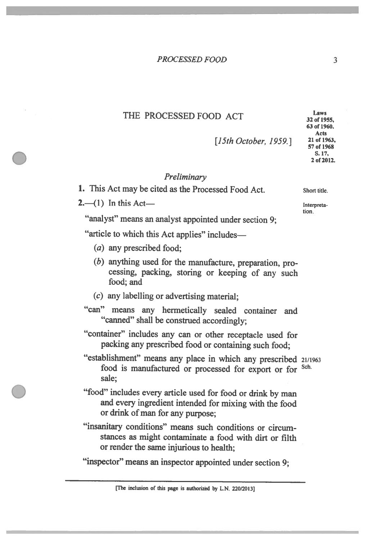# THE PROCESSED FOOD ACT

Short title.

Interpretation.

[15th October, 1959.]

### Preliminary

1. This Act may be cited as the Processed Food Act.

 $2 - (1)$  In this Act-

"analyst" means an analyst appointed under section 9;

"article to which this Act applies" includes-

- (a) any prescribed food;
- (b) anything used for the manufacture, preparation, processing, packing, storing or keeping of any such food: and
- $(c)$  any labelling or advertising material;
- "can" means any hermetically sealed container and "canned" shall be construed accordingly;
- "container" includes any can or other receptacle used for packing any prescribed food or containing such food;
- "establishment" means any place in which any prescribed 21/1963 food is manufactured or processed for export or for <sup>Sch.</sup> sale:
- "food" includes every article used for food or drink by man and every ingredient intended for mixing with the food or drink of man for any purpose;
- "insanitary conditions" means such conditions or circumstances as might contaminate a food with dirt or filth or render the same injurious to health;

"inspector" means an inspector appointed under section 9: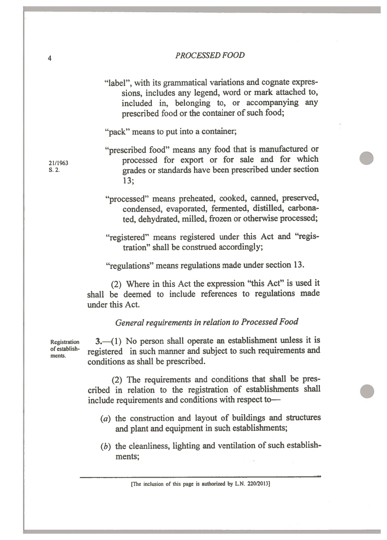"label", with its grammatical variations and cognate expressions, includes any legend, word or mark attached to. included in, belonging to, or accompanying any prescribed food or the container of such food:

"pack" means to put into a container;

- "prescribed food" means any food that is manufactured or processed for export or for sale and for which grades or standards have been prescribed under section  $13:$
- "processed" means preheated, cooked, canned, preserved, condensed, evaporated, fermented, distilled, carbonated, dehydrated, milled, frozen or otherwise processed;
- "registered" means registered under this Act and "registration" shall be construed accordingly:

"regulations" means regulations made under section 13.

(2) Where in this Act the expression "this Act" is used it shall be deemed to include references to regulations made under this Act.

General requirements in relation to Processed Food

**Registration** of establishments.

3. (1) No person shall operate an establishment unless it is registered in such manner and subject to such requirements and conditions as shall be prescribed.

(2) The requirements and conditions that shall be prescribed in relation to the registration of establishments shall include requirements and conditions with respect to-

- $(a)$  the construction and layout of buildings and structures and plant and equipment in such establishments;
- $(b)$  the cleanliness, lighting and ventilation of such establishments;

21/1963

 $S. 2.$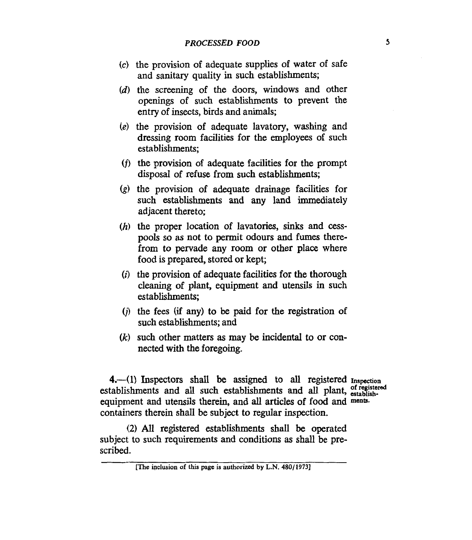- $(c)$  the provision of adequate supplies of water of safe and sanitary quality in such establishments;
- $(d)$  the screening of the doors, windows and other openings of such establishments to prevent the entry of insects, birds and animals;
- $(e)$  the provision of adequate lavatory, washing and dressing room facilities for the employees **of** such establishments;
- $(t)$  the provision of adequate facilities for the prompt disposal of refuse from such establishments;
- $(g)$  the provision of adequate drainage facilities for such establishments and any land immediately adjacent thereto;
- (h) the proper location of lavatories, sinks and cesspools so **as** not to permit odours and fumes therefrom to pervade any room or other place where food is prepared, stored or kept;
- $(i)$  the provision of adequate facilities for the thorough cleaning of plant, equipment and utensils in such establishments;
- $(i)$  the fees (if any) to be paid for the registration of such establishments; and
- such other matters **as** may be incidental to or connected with the foregoing.

**4.-(1)** Inspectors shall **be** assigned to **all** registered **Inspection**  establishments and all such establishments and all plant, establishequipment and utensils therein, and all articles of food and ments. containers therein shall be subject to regular inspection.

(2) All registered establishments shall be operated subject to such requirements and conditions **as** shall be prescribed.

**<sup>[</sup>The bclusion of this page is authorized by L.N. 480/1973]**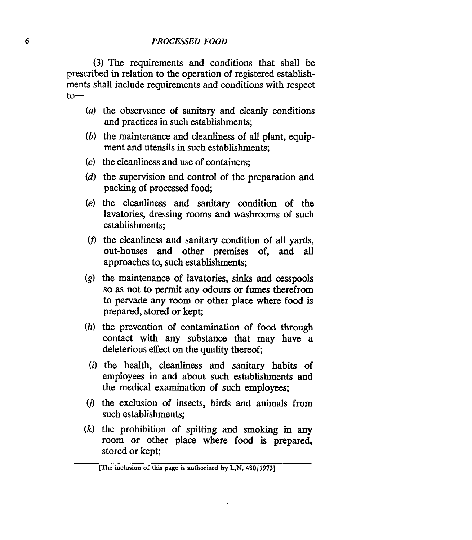**(3)** The requirements and conditions that shall be prescribed in relation to the operation of registered establishments shall include requirements and conditions with respect  $to-$ 

- *(a)* the observance of sanitary and cleanly conditions and practices in such establishments;
- *(b)* the maintenance and cleanliness of all plant, equipment and utensils in such establishments;
- **(c)** the cleanliness and use of containers;
- *(d)* the supervision and control of the preparation and packing of processed food;
- **(e)** the cleanliness and sanitary condition of the lavatories, dressing rooms and washrooms **of** such establishments;
- (f) the cleanliness and sanitary condition of all yards, out-houses and other premises of, and **all**  approaches to, such establishments;
- *(g)* the maintenance **of** lavatories, **sinks** and cesspools so as not to permit any odours or fumes therefrom to pervade any room or other place where food is prepared, stored or kept;
- *(h)* the prevention of contamination of **food** through contact with any substance that may have a deleterious effect on the quality thereof;
	- *(i)* the health, cleanliness and sanitary habits of employees in and about such establishments and the medical examination of such employees;
- *(j)* the exclusion of insects, birds and animals from such establishments;
- *(k)* the prohibition of spitting and smoking in any room or other place where **food** is prepared, stored or kept;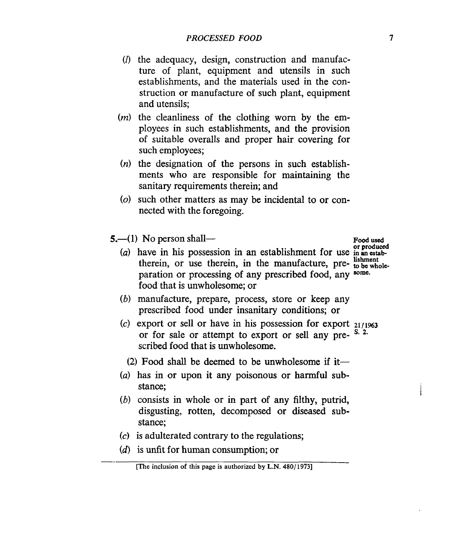- $(1)$  the adequacy, design, construction and manufacture of plant, equipment and utensils in such establishments, and the materials used in the construction or manufacture of such plant, equipment and utensils;
- $(m)$  the cleanliness of the clothing worn by the employees in such establishments, and the provision of suitable overalls and proper hair covering for such employees;
- $(n)$  the designation of the persons in such establishments who are responsible for maintaining the sanitary requirements therein; and
- $(o)$  such other matters as may be incidental to or connected with the foregoing.
- 
- **5.** (1) No person shall-<br>
(b) draw in this procession in the actual link part for our or produced **lishment** *(a)* have in his possession in an establishment for use inmestabtherein, or use therein, in the manufacture, pre- **to be whole**paration or processing of any prescribed food, any **some.**  food that is unwholesome; or
	- *(b)* manufacture, prepare, process, store or keep any prescribed food under insanitary conditions; or
	- **(c)** export or sell or have in his possession for export **21/1%3**  or for sale or attempt to export or sell any pre- <sup>S. 2.</sup> scribed food that is unwholesome.
		- (2) Food shall be deemed to be unwholesome if it-
	- *(a)* has in or upon it any poisonous or harmful substance;
	- *(b)* consists in whole or in part of any filthy, putrid, disgusting, rotten, decomposed or diseased substance;
	- **(c)** is adulterated contrary to the regulations;
	- (d) is unfit for human consumption; or

**<sup>[</sup>The inclusion of this page is authorized by L.N. 480/ 19731**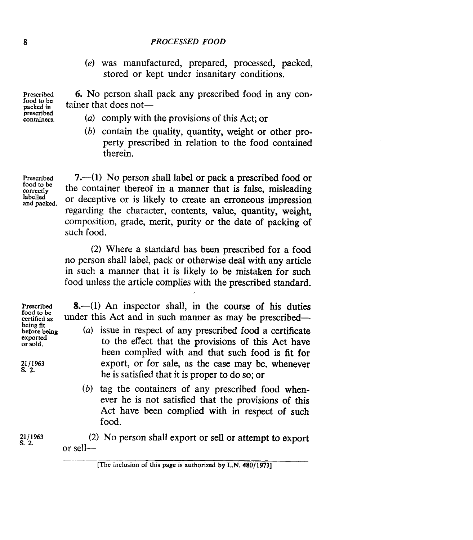*(e)* was manufactured, prepared, processed, packed, stored or kept under insanitary conditions.

**6.** No person shall pack any prescribed food in any container that does not-

- (a) comply with the provisions of this Act; or
- *(b)* contain the quality, quantity, weight or other property prescribed in relation to the food contained therein.

**Prescribed correctly labelled food to be and packed.** 

**Prescribed food to be packed in prescribed** 

> **7.--(1)** No person shall label or pack a prescribed food or the container thereof in a manner that is false, misleading or deceptive or is likely to create an erroneous impression regarding the character, contents, value, quantity, weight, composition, grade, merit, purity or the date of packing of such food.

> **(2)** Where **a** standard has been prescribed for a food no person shall label, pack or otherwise deal with any article in such a manner that it is likely to be mistaken for such food unless the article complies with the prescribed standard.

**Prescribed food to be wrtifiedas being fit before being exported or sold.** 

**21** / **1963 s. 2.** 

**8.**-(1) An inspector shall, in the course of his duties under this Act and in such manner as may be prescribed-

- *(a)* issue in respect of any prescribed food a certificate to the effect that the provisions of this Act have been complied with and that such food is **fit** for export, or for sale, as the case may be, whenever he is satisfied that it is proper to do so; or
- *(b)* tag the containers of any prescribed food whenever he is not satisfied that the provisions of this Act have been complied with in respect **of** such food.

(2) No person shall export or sell or attempt to export **21/1963 s. 2.**  or sell-

**<sup>[</sup>The inclusion of this page is authorized by L.N. 480/1973]**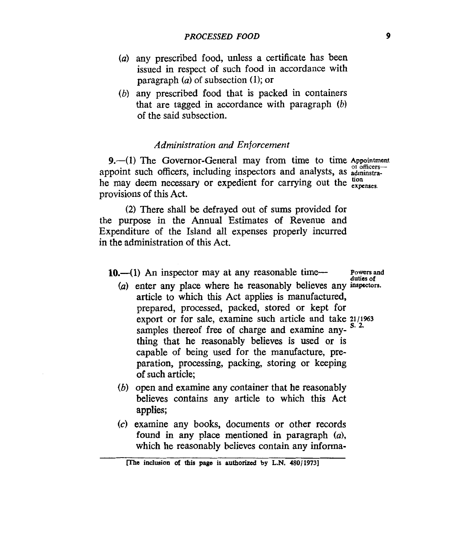- (a) any prescribed food, unless a certificate has been issued in respect of such food in accordance with paragraph *(a)* of subsection **(1);** or
- $(b)$  any prescribed food that is packed in containers that are tagged in accordance with paragraph *(b)*  of the said subsection.

#### *Administration and Enforcement*

**9.**--(1) The Governor-General may from time to time Appointment appoint such officers, including inspectors and analysts, as  $\frac{1}{\text{admissible}}$ he may deem necessary or expedient for carrying out the tion provisions of this Act.

**(2)** There shall be defrayed out of sums provided for the purpose in the Annual Estimates of Revenue and Expenditure of the Island all expenses properly incurred in the administration of this Act.

10.—(1) An inspector may at any reasonable time— **Powers** and

**duties of** 

- *(a)* enter any place where he reasonably believes any **inspectors.**  article to which this Act applies is manufactured, prepared, processed, packed, stored or kept for export or for sale, examine such article and take **2i/i%3**  thing that he reasonably believes is used or is capable of being used for the manufacture, preparation, processing, packing, storing or keeping **of** such article; samples thereof free of charge and examine any-
- *(b)* open and examine any container that he reasonably believes contains any article to which this Act applies;
- *(c)* examine any books, documents or other records found in any place mentioned in paragraph *(a),*  which he reasonably believes contain any informa-

**<sup>[</sup>The inclusion of this page is authorized by L.N. 480/1973]**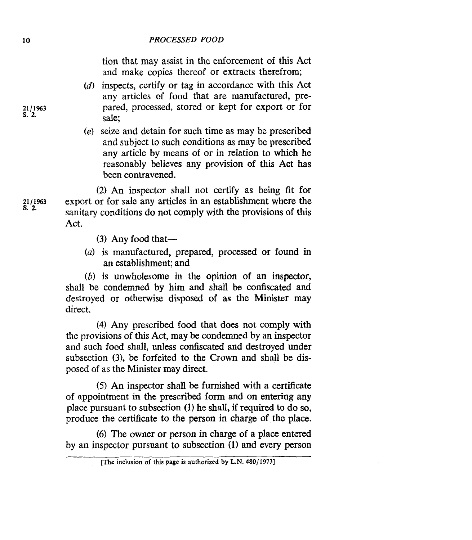tion that may assist in the enforcement of this Act and make copies thereof or extracts therefrom;

- $(d)$  inspects, certify or tag in accordance with this Act any articles of food that are manufactured, prepared, processed, stored or kept for export or for sale;
- seize and detain for such time as may be prescribed and subject to such conditions as may be prescribed any article by means of or in relation to which he reasonably believes any provision **of** this Act has been contravened.

(2) *An* inspector shall not certify as being fit for export or for sale any articles in an establishment where the sanitary conditions do not comply with the provisions **of** this Act.

- **(3)** Any food that-
- *(a)* is manufactured, prepared, processed or found in an establishment; and

*(b)* is unwholesome in the opinion **of** an inspector, shall be condemned by him and shall be confiscated and destroyed or otherwise disposed **of as** the Minister may direct.

**(4)** Any prescribed food that does not comply with the provisions of this Act, may be condemned by an inspector and such food shall, unless confiscated and destroyed under subsection **(3),** be forfeited to the Crown and shall be disposed of as the Minister may direct.

*(5)* An inspector shall be furnished with a certificate **of** appointment in the prescribed form and on entering any place pursuant to subsection **(1)** he shall, if required to do so, produce the certificate to the person in charge **of** the place.

*(6)* The owner or person in charge **of** a place entered by an inspector pursuant to subsection (1) and every person

**21/1%3 s. 2.** 

**21/1%3 s.** *2* 

**<sup>[</sup>The inclusion** of **this page is authorized by L.N. 480/1973]**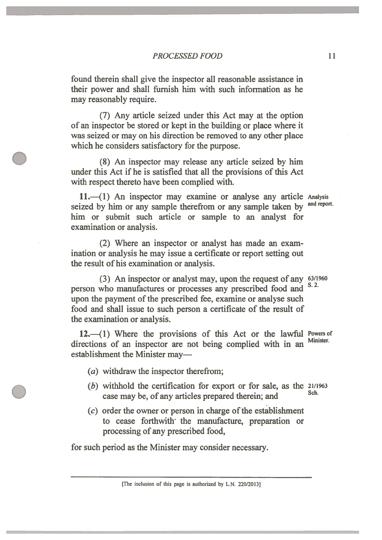found therein shall give the inspector all reasonable assistance in their power and shall furnish him with such information as he may reasonably require.

(7) Any article seized under this Act may at the option of an inspector be stored or kept in the building or place where it was seized or may on his direction be removed to any other place which he considers satisfactory for the purpose.

(8) An inspector may release any article seized by him under this Act if he is satisfied that all the provisions of this Act with respect thereto have been complied with.

11. (1) An inspector may examine or analyse any article Analysis seized by him or any sample therefrom or any sample taken by him or submit such article or sample to an analyst for examination or analysis.

and report.

(2) Where an inspector or analyst has made an examination or analysis he may issue a certificate or report setting out the result of his examination or analysis.

(3) An inspector or analyst may, upon the request of any 63/1960  $S. 2.$ person who manufactures or processes any prescribed food and upon the payment of the prescribed fee, examine or analyse such food and shall issue to such person a certificate of the result of the examination or analysis.

12. (1) Where the provisions of this Act or the lawful Powers of Minister. directions of an inspector are not being complied with in an establishment the Minister may-

- (a) withdraw the inspector therefrom;
- $(b)$  withhold the certification for export or for sale, as the  $21/1963$ Sch. case may be, of any articles prepared therein; and
- $(c)$  order the owner or person in charge of the establishment to cease forthwith the manufacture, preparation or processing of any prescribed food,

for such period as the Minister may consider necessary.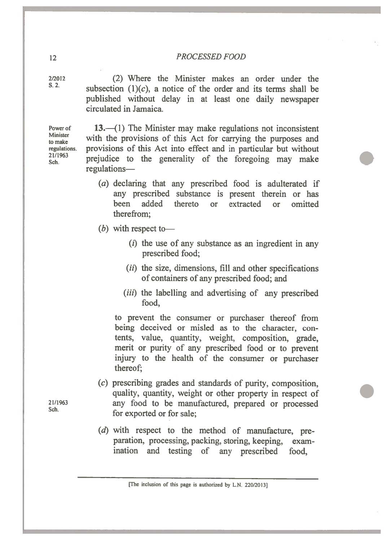2/2012  $S<sub>2</sub>$ 

(2) Where the Minister makes an order under the subsection  $(1)(c)$ , a notice of the order and its terms shall be published without delay in at least one daily newspaper circulated in Iamaica

Power of Minister to make regulations. 21/1963 Sch.

13. $-(1)$  The Minister may make regulations not inconsistent with the provisions of this Act for carrying the purposes and provisions of this Act into effect and in particular but without prejudice to the generality of the foregoing may make regulations-

- $(a)$  declaring that any prescribed food is adulterated if any prescribed substance is present therein or has added thereto or extracted heen  $\alpha$ r omitted therefrom:
- $(b)$  with respect to-
	- $(i)$  the use of any substance as an ingredient in any prescribed food:
	- (ii) the size, dimensions, fill and other specifications of containers of any prescribed food; and
	- (*iii*) the labelling and advertising of any prescribed food.

to prevent the consumer or purchaser thereof from being deceived or misled as to the character, contents, value, quantity, weight, composition, grade, merit or purity of any prescribed food or to prevent injury to the health of the consumer or purchaser thereof:

- (c) prescribing grades and standards of purity, composition, quality, quantity, weight or other property in respect of any food to be manufactured, prepared or processed for exported or for sale:
- (d) with respect to the method of manufacture, preparation, processing, packing, storing, keeping, examination and testing of any prescribed food.

21/1963 Sch.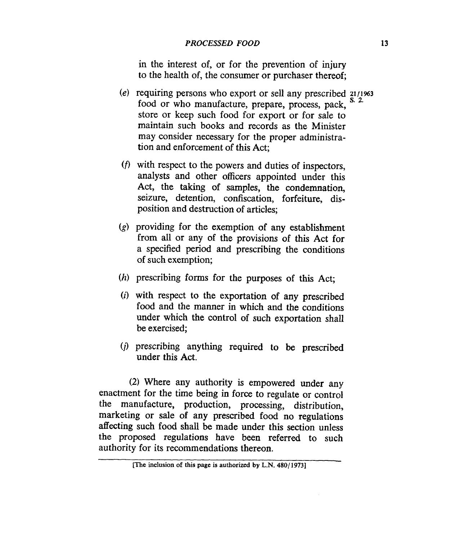in the interest of, or for the prevention of injury to the health of, the consumer or purchaser thereof;

- (e) requiring persons who export or sell any prescribed **21/1%3**  store or keep such food for export or for sale to maintain such books and records as the Minister may consider necessary for the proper administration and enforcement of this Act; food or who manufacture, prepare, process, pack,
- *<f>* with respect to the powers and duties of inspectors, analysts and other officers appointed under this Act, the taking of samples, the condemnation, seizure, detention, confiscation, forfeiture, disposition and destruction of articles;
- **(g)** providing for the exemption **of** any establishment from all or any of the provisions of this Act for a specified period and prescribing the conditions of such exemption;
- *(h)* prescribing forms for the purposes of this Act;
- *(i)* with respect to the exportation of any prescribed food and the manner in which and the conditions under which the control of such exportation shall be exercised;
- *(j)* prescribing anything required to be prescribed under this Act.

**(2)** Where any authority is empowered under any enactment for the time being in force to regulate or control the manufacture, production, processing, distribution, marketing or sale of any prescribed food no regulations affecting such food shall be made under this section unless the proposed regulations have been referred to such authority for its recommendations thereon.

**<sup>[</sup>The inclusion of this page is authorized by L.N. 4801 19731**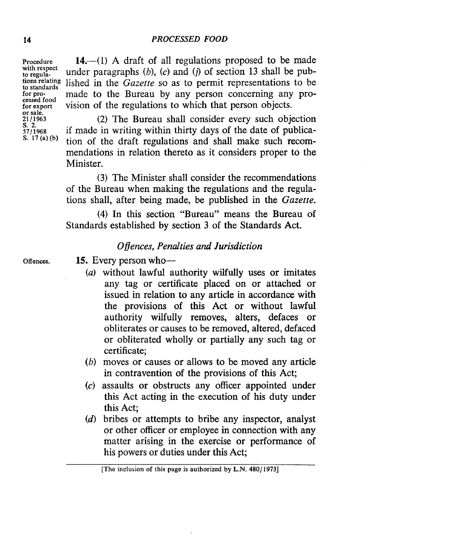**Procedure with respect to regulato standards**  cessed food **for export or sale. 2111963 s. 2. 57/1968 S. 17 (a)(b)** 

**tions relating**  lished in the *Gazette* so as to permit representations to be 14.—(1) A draft of all regulations proposed to be made under paragraphs  $(b)$ ,  $(c)$  and  $(j)$  of section 13 shall be pubmade to the Bureau by any person concerning any provision of the regulations to which that person objects.

> (2) The Bureau shall consider every such objection if made in writing within thirty days of the date of publication of the draft regulations and shall make such recommendations in relation thereto as it considers proper to the Minister.

> **(3)** The Minister shall consider the recommendations of the Bureau when making the regulations and the regulations shall, after being made, be published in the *Gazette.*

> **(4)** In this section "Bureau" means the Bureau of Standards established by section **3** of the Standards Act.

## *0 flences, Penalties and Jurisdiction*

**Offences.** 

15. Every person who-

- *(a)* without lawful authority wilfully uses or imitates any tag or certificate placed on or attached or issued in relation to any article in accordance with the provisions of this Act or without lawful authority wilfully removes, alters, defaces or obliterates or causes to be removed, altered, defaced or obliterated wholly or partially any such tag or certificate;
- *(b)* moves or causes or allows to be moved any article in contravention of the provisions of this Act;
- *(c)* assaults or obstructs any officer appointed under this Act acting in the execution of his duty under this Act;
- *(d)* bribes or attempts to bribe any inspector, analyst or other officer or employee in connection with any matter arising in the exercise or performance **of**  his powers or duties under this Act;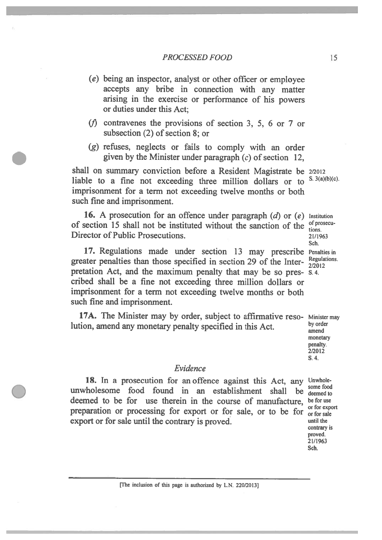- (e) being an inspector, analyst or other officer or employee accepts any bribe in connection with any matter arising in the exercise or performance of his powers or duties under this Act:
- ( $f$ ) contravenes the provisions of section 3, 5, 6 or 7 or subsection  $(2)$  of section 8: or
- (g) refuses, neglects or fails to comply with an order given by the Minister under paragraph  $(c)$  of section 12,

shall on summary conviction before a Resident Magistrate be 2/2012 liable to a fine not exceeding three million dollars or to imprisonment for a term not exceeding twelve months or both such fine and imprisonment.

16. A prosecution for an offence under paragraph  $(d)$  or  $(e)$  Institution of section 15 shall not be instituted without the sanction of the of prosecu-Director of Public Prosecutions.

17. Regulations made under section 13 may prescribe Penatties in greater penalties than those specified in section 29 of the Interpretation Act, and the maximum penalty that may be so pres- s.4. cribed shall be a fine not exceeding three million dollars or imprisonment for a term not exceeding twelve months or both such fine and imprisonment.

17A. The Minister may by order, subject to affirmative reso- Minister may by order lution, amend any monetary penalty specified in this Act.

amend monetary penalty. 2/2012  $S.4.$ 

proved. 21/1963 Sch.

# Evidence

18. In a prosecution for an offence against this Act, any Unwholesome food unwholesome food found in an establishment shall be deemed to deemed to be for use therein in the course of manufacture, be for use or for export preparation or processing for export or for sale, or to be for or for sale export or for sale until the contrary is proved. until the contrary is

[The inclusion of this page is authorized by L.N. 220/2013]

S.  $3(a)(b)(c)$ .

tions. 21/1963 Sch. Regulations. 2/2012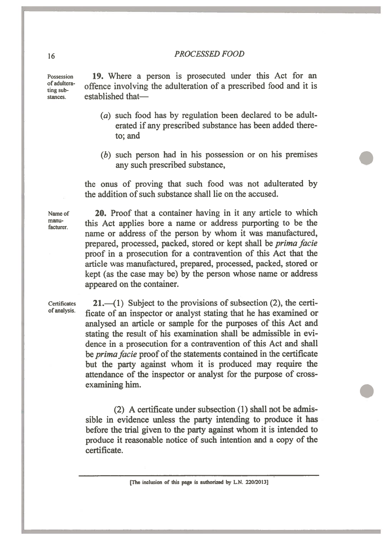Possession of adulterating substances.

19. Where a person is prosecuted under this Act for an offence involving the adulteration of a prescribed food and it is established that-

- (a) such food has by regulation been declared to be adulterated if any prescribed substance has been added thereto: and
- $(b)$  such person had in his possession or on his premises any such prescribed substance,

the onus of proving that such food was not adulterated by the addition of such substance shall lie on the accused.

Name of manufacturer.

20. Proof that a container having in it any article to which this Act applies bore a name or address purporting to be the name or address of the person by whom it was manufactured, prepared, processed, packed, stored or kept shall be *prima facie* proof in a prosecution for a contravention of this Act that the article was manufactured, prepared, processed, packed, stored or kept (as the case may be) by the person whose name or address appeared on the container.

**Certificates** of analysis.

 $21,$ —(1) Subject to the provisions of subsection (2), the certificate of an inspector or analyst stating that he has examined or analysed an article or sample for the purposes of this Act and stating the result of his examination shall be admissible in evidence in a prosecution for a contravention of this Act and shall be *prima facie* proof of the statements contained in the certificate but the party against whom it is produced may require the attendance of the inspector or analyst for the purpose of crossexamining him.

(2) A certificate under subsection (1) shall not be admissible in evidence unless the party intending to produce it has before the trial given to the party against whom it is intended to produce it reasonable notice of such intention and a copy of the certificate.